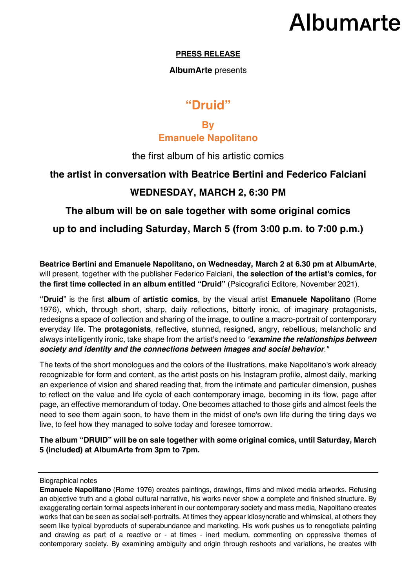# **Albumarte**

#### **PRESS RELEASE**

### **AlbumArte** presents

## **"Druid"**

## **By Emanuele Napolitano**

### the first album of his artistic comics

## **the artist in conversation with Beatrice Bertini and Federico Falciani**

## **WEDNESDAY, MARCH 2, 6:30 PM**

**The album will be on sale together with some original comics**

**up to and including Saturday, March 5 (from 3:00 p.m. to 7:00 p.m.)**

**Beatrice Bertini and Emanuele Napolitano, on Wednesday, March 2 at 6.30 pm at AlbumArte**, will present, together with the publisher Federico Falciani, **the selection of the artist's comics, for the first time collected in an album entitled "Druid"** (Psicografici Editore, November 2021).

**"Druid**" is the first **album** of **artistic comics**, by the visual artist **Emanuele Napolitano** (Rome 1976), which, through short, sharp, daily reflections, bitterly ironic, of imaginary protagonists, redesigns a space of collection and sharing of the image, to outline a macro-portrait of contemporary everyday life. The **protagonists**, reflective, stunned, resigned, angry, rebellious, melancholic and always intelligently ironic, take shape from the artist's need to *"examine the relationships between society and identity and the connections between images and social behavior."*

The texts of the short monologues and the colors of the illustrations, make Napolitano's work already recognizable for form and content, as the artist posts on his Instagram profile, almost daily, marking an experience of vision and shared reading that, from the intimate and particular dimension, pushes to reflect on the value and life cycle of each contemporary image, becoming in its flow, page after page, an effective memorandum of today. One becomes attached to those girls and almost feels the need to see them again soon, to have them in the midst of one's own life during the tiring days we live, to feel how they managed to solve today and foresee tomorrow.

**The album "DRUID" will be on sale together with some original comics, until Saturday, March 5 (included) at AlbumArte from 3pm to 7pm.**

Biographical notes

**Emanuele Napolitano** (Rome 1976) creates paintings, drawings, films and mixed media artworks. Refusing an objective truth and a global cultural narrative, his works never show a complete and finished structure. By exaggerating certain formal aspects inherent in our contemporary society and mass media, Napolitano creates works that can be seen as social self-portraits. At times they appear idiosyncratic and whimsical, at others they seem like typical byproducts of superabundance and marketing. His work pushes us to renegotiate painting and drawing as part of a reactive or - at times - inert medium, commenting on oppressive themes of contemporary society. By examining ambiguity and origin through reshoots and variations, he creates with